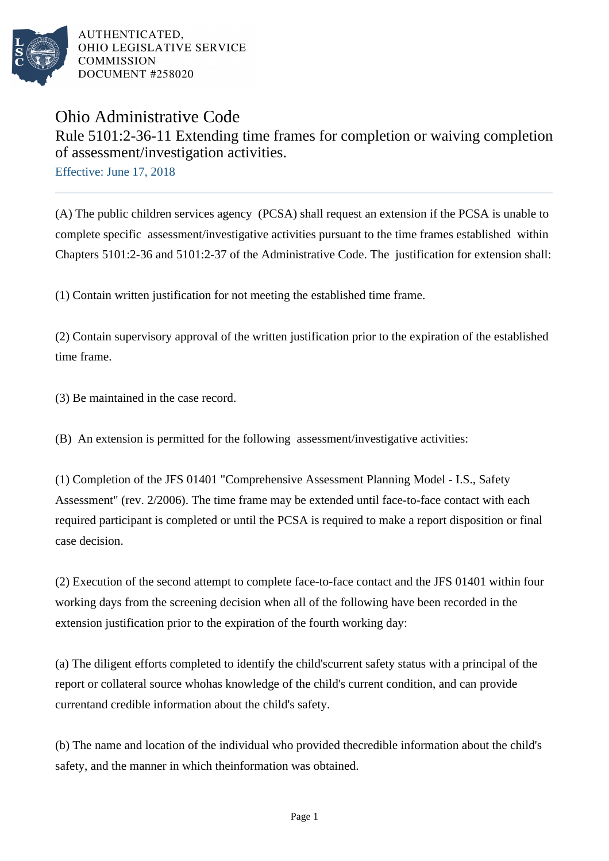

AUTHENTICATED. OHIO LEGISLATIVE SERVICE **COMMISSION** DOCUMENT #258020

## Ohio Administrative Code Rule 5101:2-36-11 Extending time frames for completion or waiving completion of assessment/investigation activities.

Effective: June 17, 2018

(A) The public children services agency (PCSA) shall request an extension if the PCSA is unable to complete specific assessment/investigative activities pursuant to the time frames established within Chapters 5101:2-36 and 5101:2-37 of the Administrative Code. The justification for extension shall:

(1) Contain written justification for not meeting the established time frame.

(2) Contain supervisory approval of the written justification prior to the expiration of the established time frame.

(3) Be maintained in the case record.

(B) An extension is permitted for the following assessment/investigative activities:

(1) Completion of the JFS 01401 "Comprehensive Assessment Planning Model - I.S., Safety Assessment" (rev.  $2/2006$ ). The time frame may be extended until face-to-face contact with each required participant is completed or until the PCSA is required to make a report disposition or final case decision.

(2) Execution of the second attempt to complete face-to-face contact and the JFS 01401 within four working days from the screening decision when all of the following have been recorded in the extension justification prior to the expiration of the fourth working day:

(a) The diligent efforts completed to identify the child's current safety status with a principal of the report or collateral source who has knowledge of the child's current condition, and can provide current and credible information about the child's safety.

(b) The name and location of the individual who provided the credible information about the child's safety, and the manner in which the information was obtained.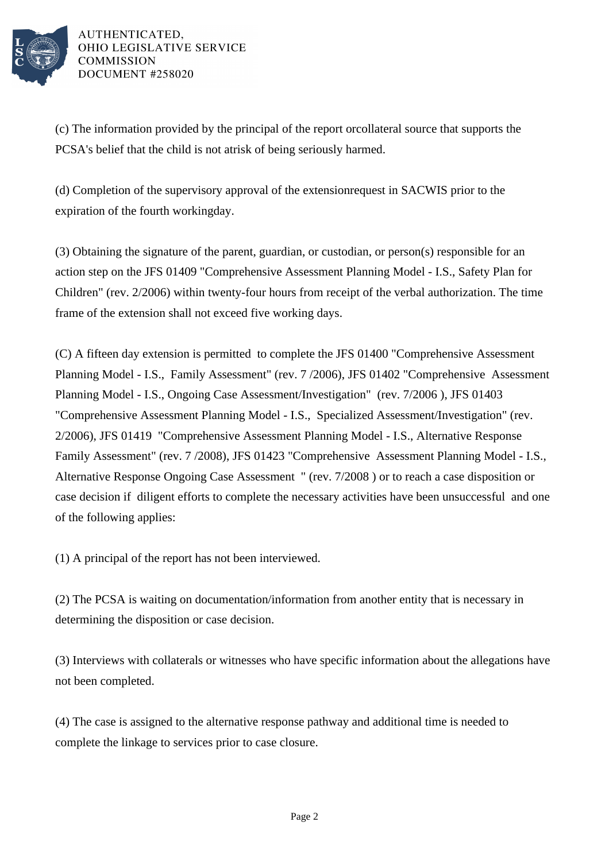

AUTHENTICATED. OHIO LEGISLATIVE SERVICE **COMMISSION** DOCUMENT #258020

(c) The information provided by the principal of the report or collateral source that supports the PCSA's belief that the child is not at risk of being seriously harmed.

(d) Completion of the supervisory approval of the extension request in SACWIS prior to the expiration of the fourth working day.

(3) Obtaining the signature of the parent, guardian, or custodian, or person(s) responsible for an action step on the JFS 01409 "Comprehensive Assessment Planning Model - I.S., Safety Plan for Children" (rev. 2/2006) within twenty-four hours from receipt of the verbal authorization. The time frame of the extension shall not exceed five working days.

(C) A fifteen day extension is permitted to complete the JFS 01400 "Comprehensive Assessment Planning Model - I.S., Family Assessment" (rev. 7 /2006), JFS 01402 "Comprehensive Assessment Planning Model - I.S., Ongoing Case Assessment/Investigation" (rev. 7/2006 ), JFS 01403 "Comprehensive Assessment Planning Model - I.S., Specialized Assessment/Investigation" (rev. 2/2006), JFS 01419 "Comprehensive Assessment Planning Model - I.S., Alternative Response Family Assessment" (rev. 7 /2008), JFS 01423 "Comprehensive Assessment Planning Model - I.S., Alternative Response Ongoing Case Assessment " (rev. 7/2008 ) or to reach a case disposition or case decision if diligent efforts to complete the necessary activities have been unsuccessful and one of the following applies:

(1) A principal of the report has not been interviewed.

(2) The PCSA is waiting on documentation/information from another entity that is necessary in determining the disposition or case decision.

(3) Interviews with collaterals or witnesses who have specific information about the allegations have not been completed.

(4) The case is assigned to the alternative response pathway and additional time is needed to complete the linkage to services prior to case closure.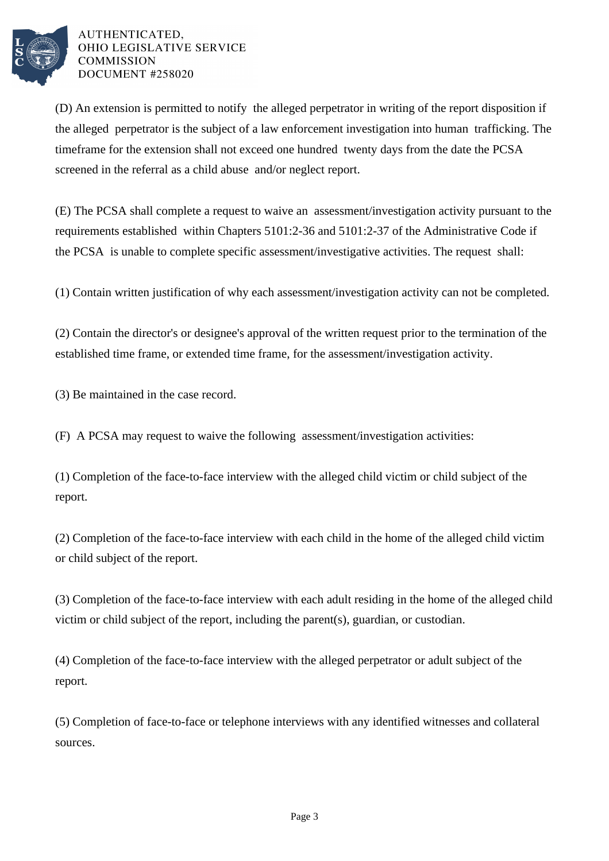

## AUTHENTICATED. OHIO LEGISLATIVE SERVICE **COMMISSION** DOCUMENT #258020

(D) An extension is permitted to notify the alleged perpetrator in writing of the report disposition if the alleged perpetrator is the subject of a law enforcement investigation into human trafficking. The timeframe for the extension shall not exceed one hundred twenty days from the date the PCSA screened in the referral as a child abuse and/or neglect report.

(E) The PCSA shall complete a request to waive an assessment/investigation activity pursuant to the requirements established within Chapters 5101:2-36 and 5101:2-37 of the Administrative Code if the PCSA is unable to complete specific assessment/investigative activities. The request shall:

(1) Contain written justification of why each assessment/investigation activity can not be completed.

(2) Contain the director's or designee's approval of the written request prior to the termination of the established time frame, or extended time frame, for the assessment/investigation activity.

(3) Be maintained in the case record.

(F) A PCSA may request to waive the following assessment/investigation activities:

 $(1)$  Completion of the face-to-face interview with the alleged child victim or child subject of the report.

(2) Completion of the face-to-face interview with each child in the home of the alleged child victim or child subject of the report.

(3) Completion of the face-to-face interview with each adult residing in the home of the alleged child victim or child subject of the report, including the parent(s), guardian, or custodian.

(4) Completion of the face-to-face interview with the alleged perpetrator or adult subject of the report.

(5) Completion of face-to-face or telephone interviews with any identified witnesses and collateral sources.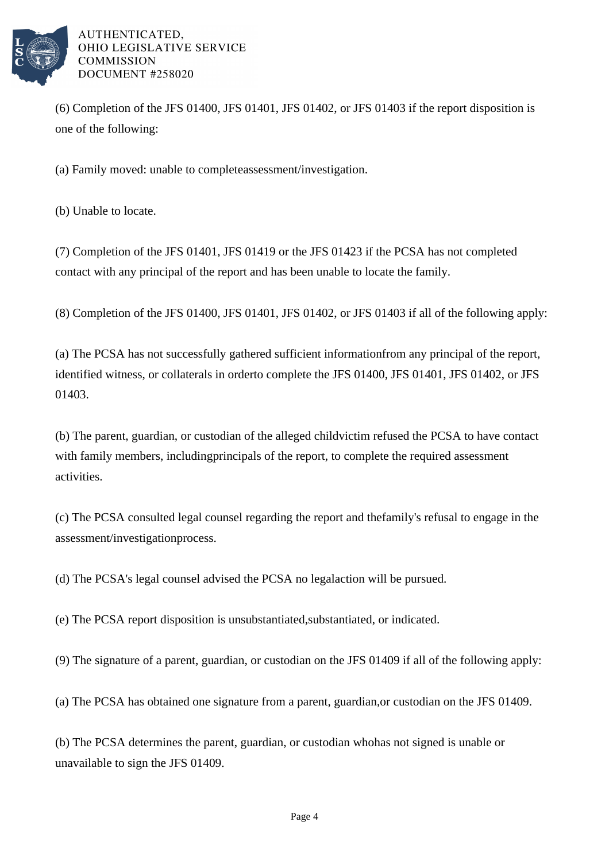

AUTHENTICATED, OHIO LEGISLATIVE SERVICE **COMMISSION** DOCUMENT #258020

 $(6)$  Completion of the JFS 01400, JFS 01401, JFS 01402, or JFS 01403 if the report disposition is one of the following:

(a) Family moved: unable to complete assessment/investigation.

(b) Unable to locate.

(7) Completion of the JFS 01401, JFS 01419 or the JFS 01423 if the PCSA has not completed contact with any principal of the report and has been unable to locate the family.

(8) Completion of the JFS 01400, JFS 01401, JFS 01402, or JFS 01403 if all of the following apply:

(a) The PCSA has not successfully gathered sufficient information from any principal of the report, identified witness, or collaterals in order to complete the JFS 01400, JFS 01401, JFS 01402, or JFS 01403.

(b) The parent, guardian, or custodian of the alleged child victim refused the PCSA to have contact with family members, including principals of the report, to complete the required assessment activities.

(c) The PCSA consulted legal counsel regarding the report and the family's refusal to engage in the assessment/investigation process.

(d) The PCSA's legal counsel advised the PCSA no legal action will be pursued.

(e) The PCSA report disposition is unsubstantiated, substantiated, or indicated.

(9) The signature of a parent, guardian, or custodian on the JFS 01409 if all of the following apply:

(a) The PCSA has obtained one signature from a parent, guardian, or custodian on the JFS 01409.

(b) The PCSA determines the parent, guardian, or custodian who has not signed is unable or unavailable to sign the JFS 01409.